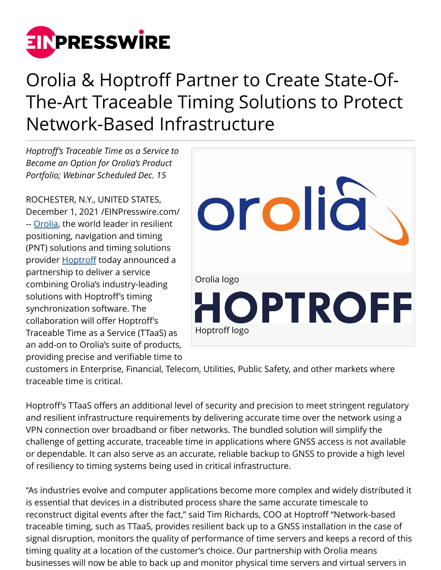

# Orolia & Hoptroff Partner to Create State-Of-The-Art Traceable Timing Solutions to Protect Network-Based Infrastructure

*Hoptroff's Traceable Time as a Service to Become an Option for Orolia's Product Portfolio; Webinar Scheduled Dec. 15*

ROCHESTER, N.Y., UNITED STATES, December 1, 2021 /[EINPresswire.com](http://www.einpresswire.com)/ -- [Orolia,](http://www.orolia.com/) the world leader in resilient positioning, navigation and timing (PNT) solutions and timing solutions provider **Hoptroff** today announced a partnership to deliver a service combining Orolia's industry-leading solutions with Hoptroff's timing synchronization software. The collaboration will offer Hoptroff's Traceable Time as a Service (TTaaS) as an add-on to Orolia's suite of products, providing precise and verifiable time to



customers in Enterprise, Financial, Telecom, Utilities, Public Safety, and other markets where traceable time is critical.

Hoptroff's TTaaS offers an additional level of security and precision to meet stringent regulatory and resilient infrastructure requirements by delivering accurate time over the network using a VPN connection over broadband or fiber networks. The bundled solution will simplify the challenge of getting accurate, traceable time in applications where GNSS access is not available or dependable. It can also serve as an accurate, reliable backup to GNSS to provide a high level of resiliency to timing systems being used in critical infrastructure.

"As industries evolve and computer applications become more complex and widely distributed it is essential that devices in a distributed process share the same accurate timescale to reconstruct digital events after the fact," said Tim Richards, COO at Hoptroff "Network-based traceable timing, such as TTaaS, provides resilient back up to a GNSS installation in the case of signal disruption, monitors the quality of performance of time servers and keeps a record of this timing quality at a location of the customer's choice. Our partnership with Orolia means businesses will now be able to back up and monitor physical time servers and virtual servers in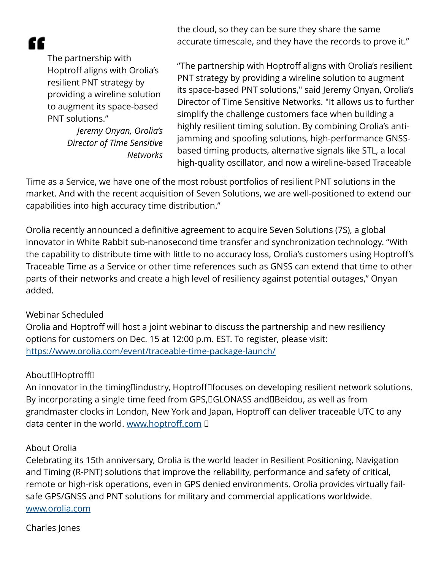æ

The partnership with Hoptroff aligns with Orolia's resilient PNT strategy by providing a wireline solution to augment its space-based PNT solutions."

> *Jeremy Onyan, Orolia's Director of Time Sensitive Networks*

the cloud, so they can be sure they share the same accurate timescale, and they have the records to prove it."

"The partnership with Hoptroff aligns with Orolia's resilient PNT strategy by providing a wireline solution to augment its space-based PNT solutions," said Jeremy Onyan, Orolia's Director of Time Sensitive Networks. "It allows us to further simplify the challenge customers face when building a highly resilient timing solution. By combining Orolia's antijamming and spoofing solutions, high-performance GNSSbased timing products, alternative signals like STL, a local high-quality oscillator, and now a wireline-based Traceable

Time as a Service, we have one of the most robust portfolios of resilient PNT solutions in the market. And with the recent acquisition of Seven Solutions, we are well-positioned to extend our capabilities into high accuracy time distribution."

Orolia recently announced a definitive agreement to acquire Seven Solutions (7S), a global innovator in White Rabbit sub-nanosecond time transfer and synchronization technology. "With the capability to distribute time with little to no accuracy loss, Orolia's customers using Hoptroff's Traceable Time as a Service or other time references such as GNSS can extend that time to other parts of their networks and create a high level of resiliency against potential outages," Onyan added.

## Webinar Scheduled

Orolia and Hoptroff will host a joint webinar to discuss the partnership and new resiliency options for customers on Dec. 15 at 12:00 p.m. EST. To register, please visit: <https://www.orolia.com/event/traceable-time-package-launch/>

## About□Hoptroff□

An innovator in the timing industry, Hoptroff focuses on developing resilient network solutions. By incorporating a single time feed from GPS, DGLONASS and DBeidou, as well as from grandmaster clocks in London, New York and Japan, Hoptroff can deliver traceable UTC to any data center in the world. [www.hoptroff.com](http://www.hoptroff.com) I

## About Orolia

Celebrating its 15th anniversary, Orolia is the world leader in Resilient Positioning, Navigation and Timing (R-PNT) solutions that improve the reliability, performance and safety of critical, remote or high-risk operations, even in GPS denied environments. Orolia provides virtually failsafe GPS/GNSS and PNT solutions for military and commercial applications worldwide. [www.orolia.com](http://www.orolia.com)

## Charles Jones